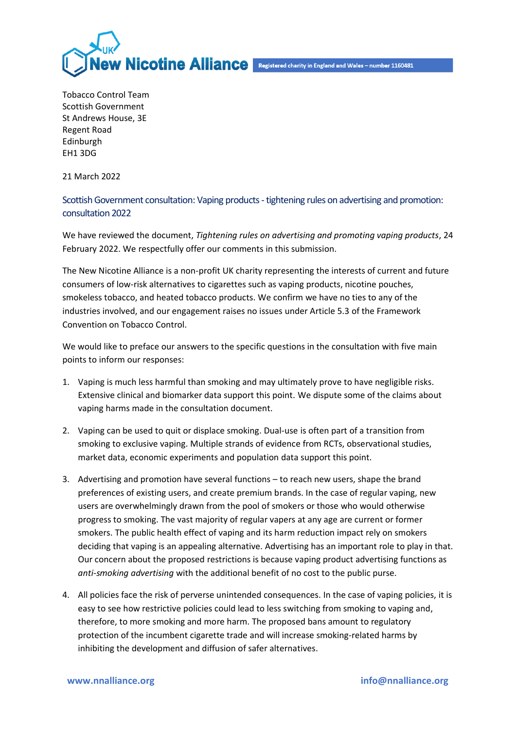

Tobacco Control Team Scottish Government St Andrews House, 3E Regent Road Edinburgh EH1 3DG

21 March 2022

Scottish Government consultation: Vaping products -tightening rules on advertising and promotion: consultation 2022

We have reviewed the document, *Tightening rules on advertising and promoting vaping products*, 24 February 2022. We respectfully offer our comments in this submission.

The New Nicotine Alliance is a non-profit UK charity representing the interests of current and future consumers of low-risk alternatives to cigarettes such as vaping products, nicotine pouches, smokeless tobacco, and heated tobacco products. We confirm we have no ties to any of the industries involved, and our engagement raises no issues under Article 5.3 of the Framework Convention on Tobacco Control.

We would like to preface our answers to the specific questions in the consultation with five main points to inform our responses:

- 1. Vaping is much less harmful than smoking and may ultimately prove to have negligible risks. Extensive clinical and biomarker data support this point. We dispute some of the claims about vaping harms made in the consultation document.
- 2. Vaping can be used to quit or displace smoking. Dual-use is often part of a transition from smoking to exclusive vaping. Multiple strands of evidence from RCTs, observational studies, market data, economic experiments and population data support this point.
- 3. Advertising and promotion have several functions to reach new users, shape the brand preferences of existing users, and create premium brands. In the case of regular vaping, new users are overwhelmingly drawn from the pool of smokers or those who would otherwise progress to smoking. The vast majority of regular vapers at any age are current or former smokers. The public health effect of vaping and its harm reduction impact rely on smokers deciding that vaping is an appealing alternative. Advertising has an important role to play in that. Our concern about the proposed restrictions is because vaping product advertising functions as *anti-smoking advertising* with the additional benefit of no cost to the public purse.
- 4. All policies face the risk of perverse unintended consequences. In the case of vaping policies, it is easy to see how restrictive policies could lead to less switching from smoking to vaping and, therefore, to more smoking and more harm. The proposed bans amount to regulatory protection of the incumbent cigarette trade and will increase smoking-related harms by inhibiting the development and diffusion of safer alternatives.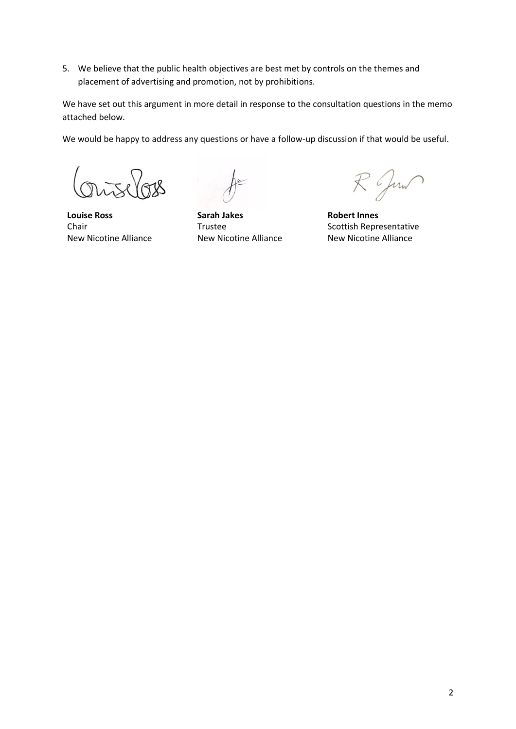5. We believe that the public health objectives are best met by controls on the themes and placement of advertising and promotion, not by prohibitions.

We have set out this argument in more detail in response to the consultation questions in the memo attached below.

We would be happy to address any questions or have a follow-up discussion if that would be useful.

*Outelos* 

**Louise Ross** Chair New Nicotine Alliance

**Sarah Jakes** Trustee New Nicotine Alliance

R Jun

**Robert Innes** Scottish Representative New Nicotine Alliance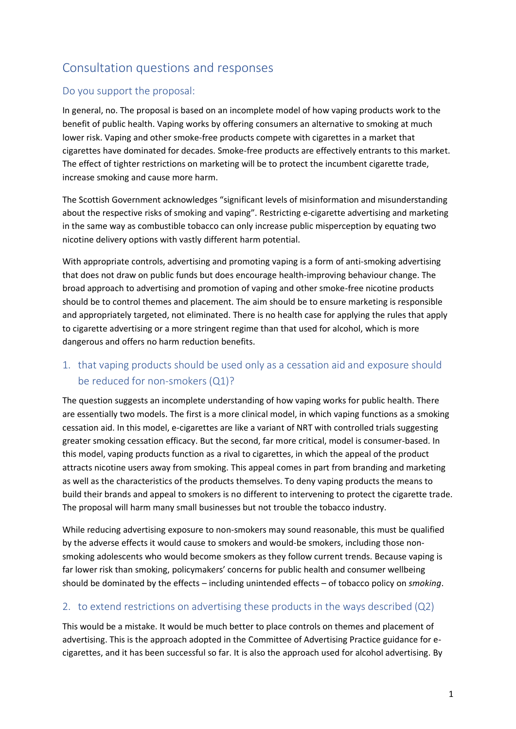# Consultation questions and responses

#### Do you support the proposal:

In general, no. The proposal is based on an incomplete model of how vaping products work to the benefit of public health. Vaping works by offering consumers an alternative to smoking at much lower risk. Vaping and other smoke-free products compete with cigarettes in a market that cigarettes have dominated for decades. Smoke-free products are effectively entrants to this market. The effect of tighter restrictions on marketing will be to protect the incumbent cigarette trade, increase smoking and cause more harm.

The Scottish Government acknowledges "significant levels of misinformation and misunderstanding about the respective risks of smoking and vaping". Restricting e-cigarette advertising and marketing in the same way as combustible tobacco can only increase public misperception by equating two nicotine delivery options with vastly different harm potential.

With appropriate controls, advertising and promoting vaping is a form of anti-smoking advertising that does not draw on public funds but does encourage health-improving behaviour change. The broad approach to advertising and promotion of vaping and other smoke-free nicotine products should be to control themes and placement. The aim should be to ensure marketing is responsible and appropriately targeted, not eliminated. There is no health case for applying the rules that apply to cigarette advertising or a more stringent regime than that used for alcohol, which is more dangerous and offers no harm reduction benefits.

## 1. that vaping products should be used only as a cessation aid and exposure should be reduced for non-smokers (Q1)?

The question suggests an incomplete understanding of how vaping works for public health. There are essentially two models. The first is a more clinical model, in which vaping functions as a smoking cessation aid. In this model, e-cigarettes are like a variant of NRT with controlled trials suggesting greater smoking cessation efficacy. But the second, far more critical, model is consumer-based. In this model, vaping products function as a rival to cigarettes, in which the appeal of the product attracts nicotine users away from smoking. This appeal comes in part from branding and marketing as well as the characteristics of the products themselves. To deny vaping products the means to build their brands and appeal to smokers is no different to intervening to protect the cigarette trade. The proposal will harm many small businesses but not trouble the tobacco industry.

While reducing advertising exposure to non-smokers may sound reasonable, this must be qualified by the adverse effects it would cause to smokers and would-be smokers, including those nonsmoking adolescents who would become smokers as they follow current trends. Because vaping is far lower risk than smoking, policymakers' concerns for public health and consumer wellbeing should be dominated by the effects – including unintended effects – of tobacco policy on *smoking*.

#### 2. to extend restrictions on advertising these products in the ways described (Q2)

This would be a mistake. It would be much better to place controls on themes and placement of advertising. This is the approach adopted in the Committee of Advertising Practice guidance for ecigarettes, and it has been successful so far. It is also the approach used for alcohol advertising. By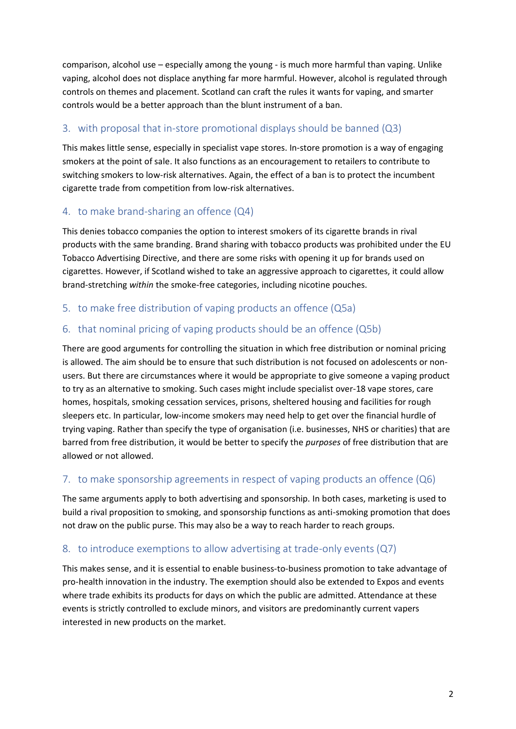comparison, alcohol use – especially among the young - is much more harmful than vaping. Unlike vaping, alcohol does not displace anything far more harmful. However, alcohol is regulated through controls on themes and placement. Scotland can craft the rules it wants for vaping, and smarter controls would be a better approach than the blunt instrument of a ban.

### 3. with proposal that in-store promotional displays should be banned (Q3)

This makes little sense, especially in specialist vape stores. In-store promotion is a way of engaging smokers at the point of sale. It also functions as an encouragement to retailers to contribute to switching smokers to low-risk alternatives. Again, the effect of a ban is to protect the incumbent cigarette trade from competition from low-risk alternatives.

### 4. to make brand-sharing an offence (Q4)

This denies tobacco companies the option to interest smokers of its cigarette brands in rival products with the same branding. Brand sharing with tobacco products was prohibited under the EU Tobacco Advertising Directive, and there are some risks with opening it up for brands used on cigarettes. However, if Scotland wished to take an aggressive approach to cigarettes, it could allow brand-stretching *within* the smoke-free categories, including nicotine pouches.

#### 5. to make free distribution of vaping products an offence (Q5a)

### 6. that nominal pricing of vaping products should be an offence (Q5b)

There are good arguments for controlling the situation in which free distribution or nominal pricing is allowed. The aim should be to ensure that such distribution is not focused on adolescents or nonusers. But there are circumstances where it would be appropriate to give someone a vaping product to try as an alternative to smoking. Such cases might include specialist over-18 vape stores, care homes, hospitals, smoking cessation services, prisons, sheltered housing and facilities for rough sleepers etc. In particular, low-income smokers may need help to get over the financial hurdle of trying vaping. Rather than specify the type of organisation (i.e. businesses, NHS or charities) that are barred from free distribution, it would be better to specify the *purposes* of free distribution that are allowed or not allowed.

### 7. to make sponsorship agreements in respect of vaping products an offence (Q6)

The same arguments apply to both advertising and sponsorship. In both cases, marketing is used to build a rival proposition to smoking, and sponsorship functions as anti-smoking promotion that does not draw on the public purse. This may also be a way to reach harder to reach groups.

### 8. to introduce exemptions to allow advertising at trade-only events (Q7)

This makes sense, and it is essential to enable business-to-business promotion to take advantage of pro-health innovation in the industry. The exemption should also be extended to Expos and events where trade exhibits its products for days on which the public are admitted. Attendance at these events is strictly controlled to exclude minors, and visitors are predominantly current vapers interested in new products on the market.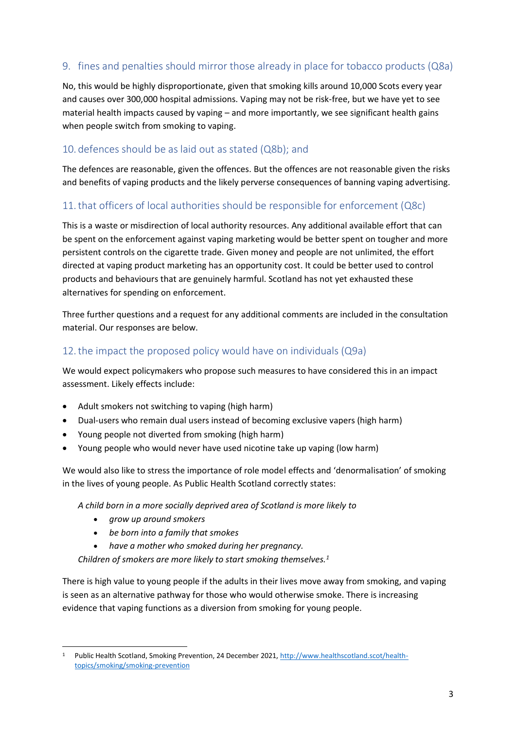### 9. fines and penalties should mirror those already in place for tobacco products (Q8a)

No, this would be highly disproportionate, given that smoking kills around 10,000 Scots every year and causes over 300,000 hospital admissions. Vaping may not be risk-free, but we have yet to see material health impacts caused by vaping – and more importantly, we see significant health gains when people switch from smoking to vaping.

#### 10. defences should be as laid out as stated (Q8b); and

The defences are reasonable, given the offences. But the offences are not reasonable given the risks and benefits of vaping products and the likely perverse consequences of banning vaping advertising.

#### 11.that officers of local authorities should be responsible for enforcement (Q8c)

This is a waste or misdirection of local authority resources. Any additional available effort that can be spent on the enforcement against vaping marketing would be better spent on tougher and more persistent controls on the cigarette trade. Given money and people are not unlimited, the effort directed at vaping product marketing has an opportunity cost. It could be better used to control products and behaviours that are genuinely harmful. Scotland has not yet exhausted these alternatives for spending on enforcement.

Three further questions and a request for any additional comments are included in the consultation material. Our responses are below.

#### 12.the impact the proposed policy would have on individuals (Q9a)

We would expect policymakers who propose such measures to have considered this in an impact assessment. Likely effects include:

- Adult smokers not switching to vaping (high harm)
- Dual-users who remain dual users instead of becoming exclusive vapers (high harm)
- Young people not diverted from smoking (high harm)
- Young people who would never have used nicotine take up vaping (low harm)

We would also like to stress the importance of role model effects and 'denormalisation' of smoking in the lives of young people. As Public Health Scotland correctly states:

*A child born in a more socially deprived area of Scotland is more likely to*

- *grow up around smokers*
- *be born into a family that smokes*
- *have a mother who smoked during her pregnancy.*

*Children of smokers are more likely to start smoking themselves.<sup>1</sup>*

There is high value to young people if the adults in their lives move away from smoking, and vaping is seen as an alternative pathway for those who would otherwise smoke. There is increasing evidence that vaping functions as a diversion from smoking for young people.

<sup>1</sup> Public Health Scotland, Smoking Prevention, 24 December 2021[, http://www.healthscotland.scot/health](http://www.healthscotland.scot/health-topics/smoking/smoking-prevention)[topics/smoking/smoking-prevention](http://www.healthscotland.scot/health-topics/smoking/smoking-prevention)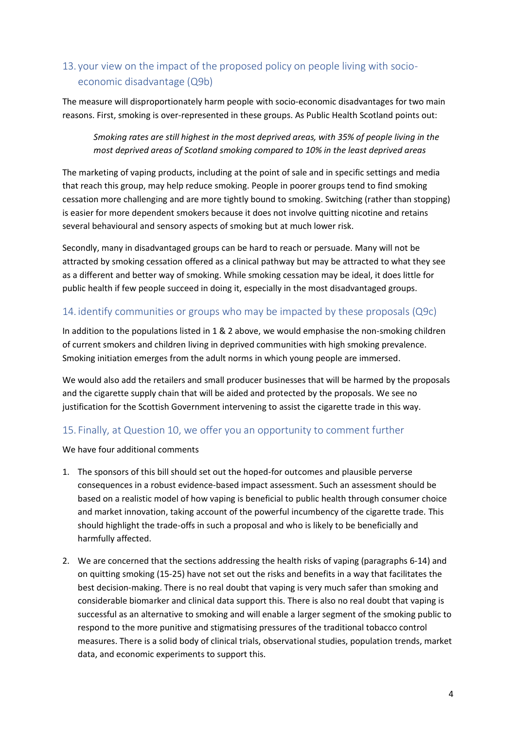# 13. your view on the impact of the proposed policy on people living with socioeconomic disadvantage (Q9b)

The measure will disproportionately harm people with socio-economic disadvantages for two main reasons. First, smoking is over-represented in these groups. As Public Health Scotland points out:

*Smoking rates are still highest in the most deprived areas, with 35% of people living in the most deprived areas of Scotland smoking compared to 10% in the least deprived areas*

The marketing of vaping products, including at the point of sale and in specific settings and media that reach this group, may help reduce smoking. People in poorer groups tend to find smoking cessation more challenging and are more tightly bound to smoking. Switching (rather than stopping) is easier for more dependent smokers because it does not involve quitting nicotine and retains several behavioural and sensory aspects of smoking but at much lower risk.

Secondly, many in disadvantaged groups can be hard to reach or persuade. Many will not be attracted by smoking cessation offered as a clinical pathway but may be attracted to what they see as a different and better way of smoking. While smoking cessation may be ideal, it does little for public health if few people succeed in doing it, especially in the most disadvantaged groups.

#### 14. identify communities or groups who may be impacted by these proposals (Q9c)

In addition to the populations listed in 1 & 2 above, we would emphasise the non-smoking children of current smokers and children living in deprived communities with high smoking prevalence. Smoking initiation emerges from the adult norms in which young people are immersed.

We would also add the retailers and small producer businesses that will be harmed by the proposals and the cigarette supply chain that will be aided and protected by the proposals. We see no justification for the Scottish Government intervening to assist the cigarette trade in this way.

#### 15. Finally, at Question 10, we offer you an opportunity to comment further

We have four additional comments

- 1. The sponsors of this bill should set out the hoped-for outcomes and plausible perverse consequences in a robust evidence-based impact assessment. Such an assessment should be based on a realistic model of how vaping is beneficial to public health through consumer choice and market innovation, taking account of the powerful incumbency of the cigarette trade. This should highlight the trade-offs in such a proposal and who is likely to be beneficially and harmfully affected.
- 2. We are concerned that the sections addressing the health risks of vaping (paragraphs 6-14) and on quitting smoking (15-25) have not set out the risks and benefits in a way that facilitates the best decision-making. There is no real doubt that vaping is very much safer than smoking and considerable biomarker and clinical data support this. There is also no real doubt that vaping is successful as an alternative to smoking and will enable a larger segment of the smoking public to respond to the more punitive and stigmatising pressures of the traditional tobacco control measures. There is a solid body of clinical trials, observational studies, population trends, market data, and economic experiments to support this.